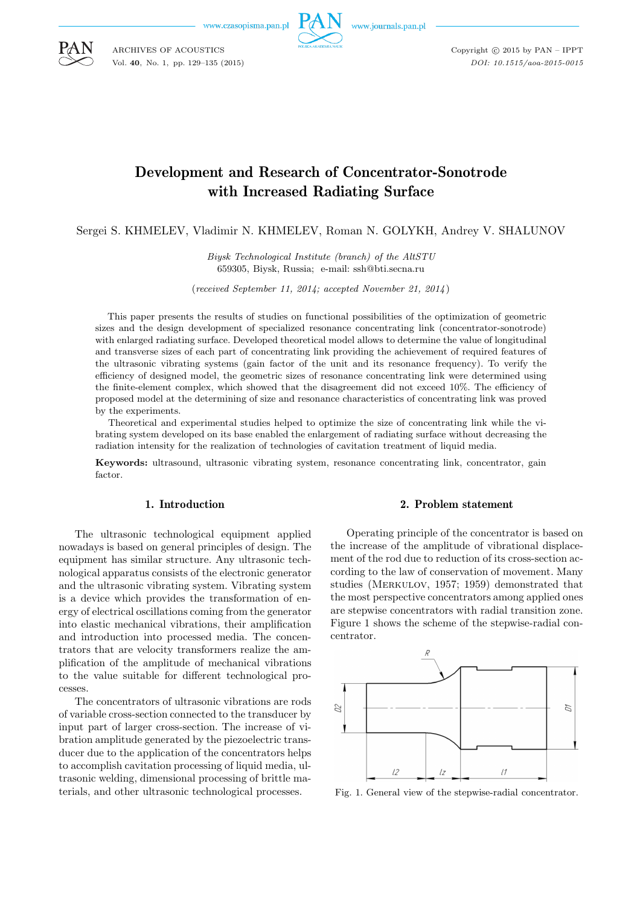www.czasopisma.pan.p



www.journals.pan.pl

Copyright  $\odot$  2015 by PAN - IPPT *DOI: 10.1515/aoa-2015-0015*

# Development and Research of Concentrator-Sonotrode with Increased Radiating Surface

Sergei S. KHMELEV, Vladimir N. KHMELEV, Roman N. GOLYKH, Andrey V. SHALUNOV

*Biysk Technological Institute (branch) of the AltSTU* 659305, Biysk, Russia; e-mail: ssh@bti.secna.ru

(*received September 11, 2014; accepted November 21, 2014*)

This paper presents the results of studies on functional possibilities of the optimization of geometric sizes and the design development of specialized resonance concentrating link (concentrator-sonotrode) with enlarged radiating surface. Developed theoretical model allows to determine the value of longitudinal and transverse sizes of each part of concentrating link providing the achievement of required features of the ultrasonic vibrating systems (gain factor of the unit and its resonance frequency). To verify the efficiency of designed model, the geometric sizes of resonance concentrating link were determined using the finite-element complex, which showed that the disagreement did not exceed 10%. The efficiency of proposed model at the determining of size and resonance characteristics of concentrating link was proved by the experiments.

Theoretical and experimental studies helped to optimize the size of concentrating link while the vibrating system developed on its base enabled the enlargement of radiating surface without decreasing the radiation intensity for the realization of technologies of cavitation treatment of liquid media.

Keywords: ultrasound, ultrasonic vibrating system, resonance concentrating link, concentrator, gain factor.

### 1. Introduction

The ultrasonic technological equipment applied nowadays is based on general principles of design. The equipment has similar structure. Any ultrasonic technological apparatus consists of the electronic generator and the ultrasonic vibrating system. Vibrating system is a device which provides the transformation of energy of electrical oscillations coming from the generator into elastic mechanical vibrations, their amplification and introduction into processed media. The concentrators that are velocity transformers realize the amplification of the amplitude of mechanical vibrations to the value suitable for different technological processes.

The concentrators of ultrasonic vibrations are rods of variable cross-section connected to the transducer by input part of larger cross-section. The increase of vibration amplitude generated by the piezoelectric transducer due to the application of the concentrators helps to accomplish cavitation processing of liquid media, ultrasonic welding, dimensional processing of brittle materials, and other ultrasonic technological processes.

## 2. Problem statement

Operating principle of the concentrator is based on the increase of the amplitude of vibrational displacement of the rod due to reduction of its cross-section according to the law of conservation of movement. Many studies (Merkulov, 1957; 1959) demonstrated that the most perspective concentrators among applied ones are stepwise concentrators with radial transition zone. Figure 1 shows the scheme of the stepwise-radial concentrator.



Fig. 1. General view of the stepwise-radial concentrator.



ARCHIVES OF ACOUSTICS Vol. **40**, No. 1, pp. 129–135 (2015)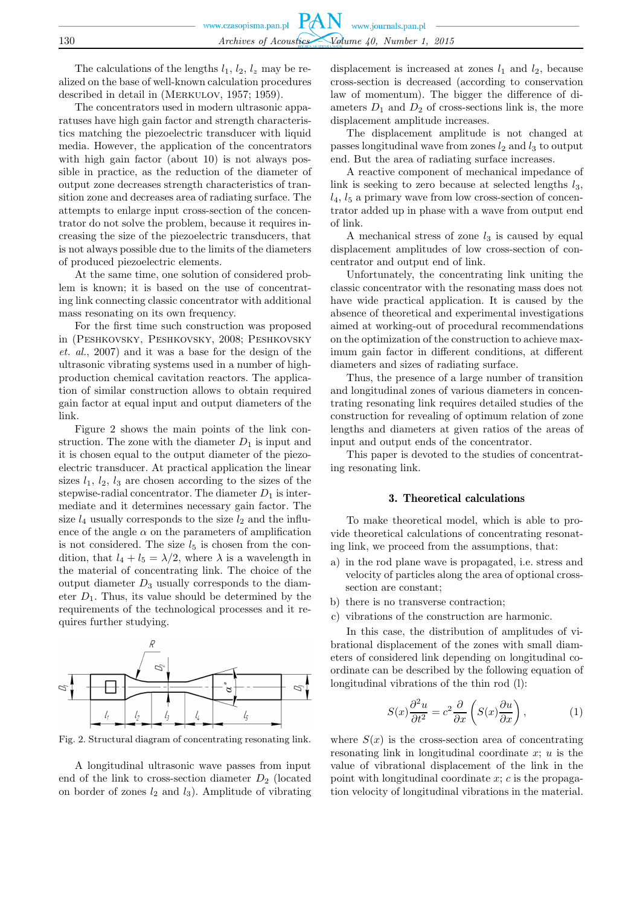|     | www.czasopisma.pan.pl $PAN$ www.journals.pan.pl |
|-----|-------------------------------------------------|
|     |                                                 |
| 130 | Archives of Acoustics Volume 40, Number 1, 2015 |

The calculations of the lengths  $l_1$ ,  $l_2$ ,  $l_z$  may be realized on the base of well-known calculation procedures described in detail in (Merkulov, 1957; 1959).

The concentrators used in modern ultrasonic apparatuses have high gain factor and strength characteristics matching the piezoelectric transducer with liquid media. However, the application of the concentrators with high gain factor (about 10) is not always possible in practice, as the reduction of the diameter of output zone decreases strength characteristics of transition zone and decreases area of radiating surface. The attempts to enlarge input cross-section of the concentrator do not solve the problem, because it requires increasing the size of the piezoelectric transducers, that is not always possible due to the limits of the diameters of produced piezoelectric elements.

At the same time, one solution of considered problem is known; it is based on the use of concentrating link connecting classic concentrator with additional mass resonating on its own frequency.

For the first time such construction was proposed in (Peshkovsky, Peshkovsky, 2008; Peshkovsky *et. al.*, 2007) and it was a base for the design of the ultrasonic vibrating systems used in a number of highproduction chemical cavitation reactors. The application of similar construction allows to obtain required gain factor at equal input and output diameters of the link.

Figure 2 shows the main points of the link construction. The zone with the diameter  $D_1$  is input and it is chosen equal to the output diameter of the piezoelectric transducer. At practical application the linear sizes  $l_1$ ,  $l_2$ ,  $l_3$  are chosen according to the sizes of the stepwise-radial concentrator. The diameter  $D_1$  is intermediate and it determines necessary gain factor. The size  $l_4$  usually corresponds to the size  $l_2$  and the influence of the angle  $\alpha$  on the parameters of amplification is not considered. The size  $l_5$  is chosen from the condition, that  $l_4 + l_5 = \lambda/2$ , where  $\lambda$  is a wavelength in the material of concentrating link. The choice of the output diameter  $D_3$  usually corresponds to the diameter  $D_1$ . Thus, its value should be determined by the requirements of the technological processes and it requires further studying.



Fig. 2. Structural diagram of concentrating resonating link.

A longitudinal ultrasonic wave passes from input end of the link to cross-section diameter  $D_2$  (located on border of zones  $l_2$  and  $l_3$ ). Amplitude of vibrating

displacement is increased at zones  $l_1$  and  $l_2$ , because cross-section is decreased (according to conservation law of momentum). The bigger the difference of diameters  $D_1$  and  $D_2$  of cross-sections link is, the more displacement amplitude increases.

The displacement amplitude is not changed at passes longitudinal wave from zones  $l_2$  and  $l_3$  to output end. But the area of radiating surface increases.

A reactive component of mechanical impedance of link is seeking to zero because at selected lengths  $l_3$ ,  $l_4$ ,  $l_5$  a primary wave from low cross-section of concentrator added up in phase with a wave from output end of link.

A mechanical stress of zone  $l_3$  is caused by equal displacement amplitudes of low cross-section of concentrator and output end of link.

Unfortunately, the concentrating link uniting the classic concentrator with the resonating mass does not have wide practical application. It is caused by the absence of theoretical and experimental investigations aimed at working-out of procedural recommendations on the optimization of the construction to achieve maximum gain factor in different conditions, at different diameters and sizes of radiating surface.

Thus, the presence of a large number of transition and longitudinal zones of various diameters in concentrating resonating link requires detailed studies of the construction for revealing of optimum relation of zone lengths and diameters at given ratios of the areas of input and output ends of the concentrator.

This paper is devoted to the studies of concentrating resonating link.

#### 3. Theoretical calculations

To make theoretical model, which is able to provide theoretical calculations of concentrating resonating link, we proceed from the assumptions, that:

- a) in the rod plane wave is propagated, i.e. stress and velocity of particles along the area of optional crosssection are constant;
- b) there is no transverse contraction;
- c) vibrations of the construction are harmonic.

In this case, the distribution of amplitudes of vibrational displacement of the zones with small diameters of considered link depending on longitudinal coordinate can be described by the following equation of longitudinal vibrations of the thin rod (l):

$$
S(x)\frac{\partial^2 u}{\partial t^2} = c^2 \frac{\partial}{\partial x} \left( S(x) \frac{\partial u}{\partial x} \right),\tag{1}
$$

where  $S(x)$  is the cross-section area of concentrating resonating link in longitudinal coordinate  $x; u$  is the value of vibrational displacement of the link in the point with longitudinal coordinate  $x$ ;  $c$  is the propagation velocity of longitudinal vibrations in the material.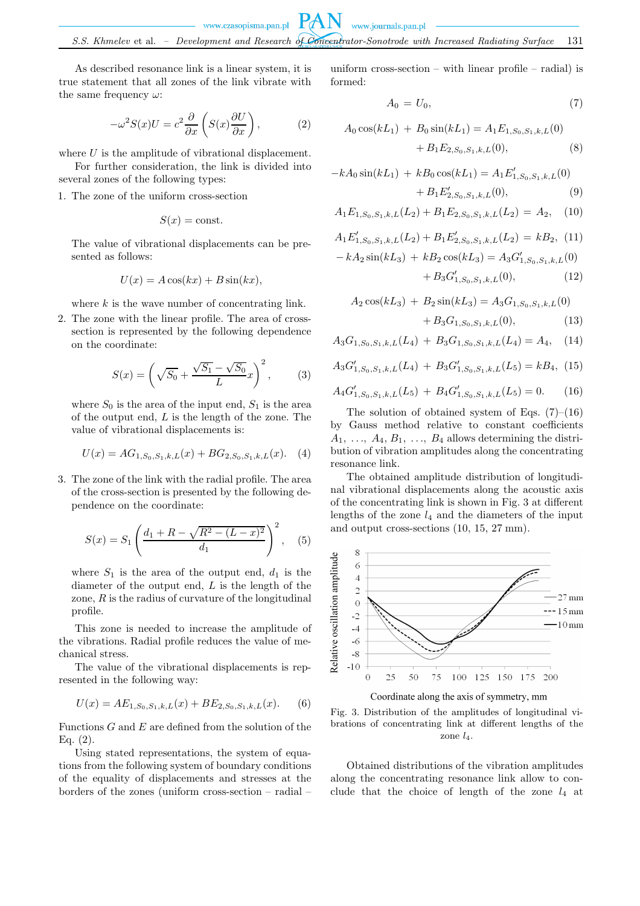As described resonance link is a linear system, it is true statement that all zones of the link vibrate with the same frequency  $\omega$ :

$$
-\omega^2 S(x)U = c^2 \frac{\partial}{\partial x} \left( S(x) \frac{\partial U}{\partial x} \right), \tag{2}
$$

where  $U$  is the amplitude of vibrational displacement.

For further consideration, the link is divided into several zones of the following types:

1. The zone of the uniform cross-section

$$
S(x) = \text{const.}
$$

The value of vibrational displacements can be presented as follows:

$$
U(x) = A\cos(kx) + B\sin(kx),
$$

where  $k$  is the wave number of concentrating link.

2. The zone with the linear profile. The area of crosssection is represented by the following dependence on the coordinate:

$$
S(x) = \left(\sqrt{S_0} + \frac{\sqrt{S_1} - \sqrt{S_0}}{L}x\right)^2, \quad (3)
$$

where  $S_0$  is the area of the input end,  $S_1$  is the area of the output end,  $L$  is the length of the zone. The value of vibrational displacements is:

$$
U(x) = AG_{1,S_0,S_1,k,L}(x) + BG_{2,S_0,S_1,k,L}(x). \quad (4)
$$

3. The zone of the link with the radial profile. The area of the cross-section is presented by the following dependence on the coordinate:

$$
S(x) = S_1 \left( \frac{d_1 + R - \sqrt{R^2 - (L - x)^2}}{d_1} \right)^2, \quad (5)
$$

where  $S_1$  is the area of the output end,  $d_1$  is the diameter of the output end, L is the length of the zone,  $R$  is the radius of curvature of the longitudinal profile.

This zone is needed to increase the amplitude of the vibrations. Radial profile reduces the value of mechanical stress.

The value of the vibrational displacements is represented in the following way:

$$
U(x) = AE_{1,S_0,S_1,k,L}(x) + BE_{2,S_0,S_1,k,L}(x). \tag{6}
$$

Functions  $G$  and  $E$  are defined from the solution of the Eq. (2).

Using stated representations, the system of equations from the following system of boundary conditions of the equality of displacements and stresses at the borders of the zones (uniform cross-section – radial –

uniform cross-section – with linear profile – radial) is formed:

$$
A_0 = U_0,\t\t(7)
$$

$$
A_0 \cos(kL_1) + B_0 \sin(kL_1) = A_1 E_{1,S_0,S_1,k,L}(0)
$$
  
+  $B_1 E_{2,S_0,S_1,k,L}(0)$ , (8)

$$
-kA_0 \sin(kL_1) + kB_0 \cos(kL_1) = A_1 E'_{1,S_0,S_1,k,L}(0)
$$
  
+  $B_1 E'_{2,S_0,S_1,k,L}(0)$ , (9)

$$
A_1E_{1,S_0,S_1,k,L}(L_2) + B_1E_{2,S_0,S_1,k,L}(L_2) = A_2, \quad (10)
$$

$$
A_1 E'_{1, S_0, S_1, k, L}(L_2) + B_1 E'_{2, S_0, S_1, k, L}(L_2) = k B_2, (11)
$$

$$
- k A_2 \sin(k L_3) + k B_2 \cos(k L_3) = A_3 G'_{1, S_0, S_1, k, L}(0)
$$

$$
+ B_3 G'_{1, S_0, S_1, k, L}(0), (12)
$$

$$
A_2 \cos(kL_3) + B_2 \sin(kL_3) = A_3 G_{1,S_0,S_1,k,L}(0) + B_3 G_{1,S_0,S_1,k,L}(0),
$$
 (13)

$$
A_3G_{1,S_0,S_1,k,L}(L_4) + B_3G_{1,S_0,S_1,k,L}(L_4) = A_4, \quad (14)
$$

$$
A_3G'_{1,S_0,S_1,k,L}(L_4) + B_3G'_{1,S_0,S_1,k,L}(L_5) = kB_4, (15)
$$

$$
A_4 G'_{1,S_0,S_1,k,L}(L_5) + B_4 G'_{1,S_0,S_1,k,L}(L_5) = 0. \tag{16}
$$

The solution of obtained system of Eqs.  $(7)-(16)$ by Gauss method relative to constant coefficients  $A_1, \ldots, A_4, B_1, \ldots, B_4$  allows determining the distribution of vibration amplitudes along the concentrating resonance link.

The obtained amplitude distribution of longitudinal vibrational displacements along the acoustic axis of the concentrating link is shown in Fig. 3 at different lengths of the zone  $l_4$  and the diameters of the input and output cross-sections (10, 15, 27 mm).



Coordinate along the axis of symmetry, mm

Fig. 3. Distribution of the amplitudes of longitudinal vibrations of concentrating link at different lengths of the zone  $l_4$ .

Obtained distributions of the vibration amplitudes along the concentrating resonance link allow to conclude that the choice of length of the zone  $l_4$  at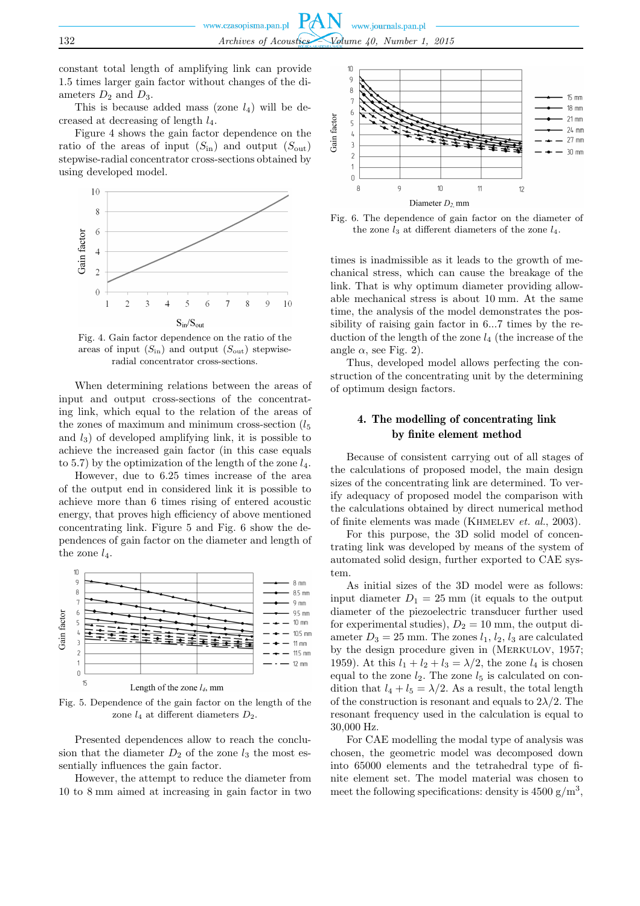constant total length of amplifying link can provide 1.5 times larger gain factor without changes of the diameters  $D_2$  and  $D_3$ .

This is because added mass (zone  $l_4$ ) will be decreased at decreasing of length l4.

Figure 4 shows the gain factor dependence on the ratio of the areas of input  $(S_{\text{in}})$  and output  $(S_{\text{out}})$ stepwise-radial concentrator cross-sections obtained by using developed model.



Fig. 4. Gain factor dependence on the ratio of the areas of input  $(S_{\text{in}})$  and output  $(S_{\text{out}})$  stepwiseradial concentrator cross-sections.

When determining relations between the areas of input and output cross-sections of the concentrating link, which equal to the relation of the areas of the zones of maximum and minimum cross-section  $(l_5)$ and  $l_3$ ) of developed amplifying link, it is possible to achieve the increased gain factor (in this case equals to 5.7) by the optimization of the length of the zone  $l_4$ .

However, due to 6.25 times increase of the area of the output end in considered link it is possible to achieve more than 6 times rising of entered acoustic energy, that proves high efficiency of above mentioned concentrating link. Figure 5 and Fig. 6 show the dependences of gain factor on the diameter and length of the zone  $l_4$ .



Fig. 5. Dependence of the gain factor on the length of the zone  $l_4$  at different diameters  $D_2$ .

Presented dependences allow to reach the conclusion that the diameter  $D_2$  of the zone  $l_3$  the most essentially influences the gain factor.

However, the attempt to reduce the diameter from 10 to 8 mm aimed at increasing in gain factor in two



Fig. 6. The dependence of gain factor on the diameter of the zone  $l_3$  at different diameters of the zone  $l_4$ .

times is inadmissible as it leads to the growth of mechanical stress, which can cause the breakage of the link. That is why optimum diameter providing allowable mechanical stress is about 10 mm. At the same time, the analysis of the model demonstrates the possibility of raising gain factor in 6...7 times by the reduction of the length of the zone  $l_4$  (the increase of the angle  $\alpha$ , see Fig. 2).

Thus, developed model allows perfecting the construction of the concentrating unit by the determining of optimum design factors.

# 4. The modelling of concentrating link by finite element method

Because of consistent carrying out of all stages of the calculations of proposed model, the main design sizes of the concentrating link are determined. To verify adequacy of proposed model the comparison with the calculations obtained by direct numerical method of finite elements was made (Khmelev *et. al.*, 2003).

For this purpose, the 3D solid model of concentrating link was developed by means of the system of automated solid design, further exported to CAE system.

As initial sizes of the 3D model were as follows: input diameter  $D_1 = 25$  mm (it equals to the output diameter of the piezoelectric transducer further used for experimental studies),  $D_2 = 10$  mm, the output diameter  $D_3 = 25$  mm. The zones  $l_1, l_2, l_3$  are calculated by the design procedure given in (Merkulov, 1957; 1959). At this  $l_1 + l_2 + l_3 = \lambda/2$ , the zone  $l_4$  is chosen equal to the zone  $l_2$ . The zone  $l_5$  is calculated on condition that  $l_4 + l_5 = \lambda/2$ . As a result, the total length of the construction is resonant and equals to  $2\lambda/2$ . The resonant frequency used in the calculation is equal to 30,000 Hz.

For CAE modelling the modal type of analysis was chosen, the geometric model was decomposed down into 65000 elements and the tetrahedral type of finite element set. The model material was chosen to meet the following specifications: density is  $4500 \text{ g/m}^3$ ,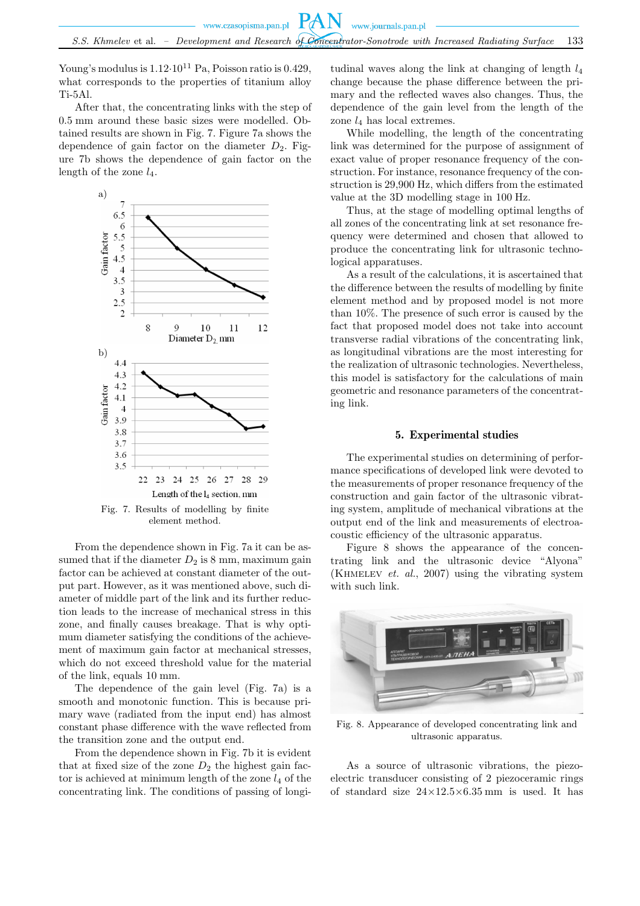Young's modulus is  $1.12 \cdot 10^{11}$  Pa, Poisson ratio is 0.429, what corresponds to the properties of titanium alloy Ti-5Al.

After that, the concentrating links with the step of 0.5 mm around these basic sizes were modelled. Obtained results are shown in Fig. 7. Figure 7a shows the dependence of gain factor on the diameter  $D_2$ . Figure 7b shows the dependence of gain factor on the length of the zone  $l_4$ .



From the dependence shown in Fig. 7a it can be assumed that if the diameter  $D_2$  is 8 mm, maximum gain factor can be achieved at constant diameter of the output part. However, as it was mentioned above, such diameter of middle part of the link and its further reduction leads to the increase of mechanical stress in this zone, and finally causes breakage. That is why optimum diameter satisfying the conditions of the achievement of maximum gain factor at mechanical stresses, which do not exceed threshold value for the material of the link, equals 10 mm.

The dependence of the gain level (Fig. 7a) is a smooth and monotonic function. This is because primary wave (radiated from the input end) has almost constant phase difference with the wave reflected from the transition zone and the output end.

From the dependence shown in Fig. 7b it is evident that at fixed size of the zone  $D_2$  the highest gain factor is achieved at minimum length of the zone  $l_4$  of the concentrating link. The conditions of passing of longitudinal waves along the link at changing of length  $l_4$ change because the phase difference between the primary and the reflected waves also changes. Thus, the dependence of the gain level from the length of the zone  $l_4$  has local extremes.

While modelling, the length of the concentrating link was determined for the purpose of assignment of exact value of proper resonance frequency of the construction. For instance, resonance frequency of the construction is 29,900 Hz, which differs from the estimated value at the 3D modelling stage in 100 Hz.

Thus, at the stage of modelling optimal lengths of all zones of the concentrating link at set resonance frequency were determined and chosen that allowed to produce the concentrating link for ultrasonic technological apparatuses.

As a result of the calculations, it is ascertained that the difference between the results of modelling by finite element method and by proposed model is not more than 10%. The presence of such error is caused by the fact that proposed model does not take into account transverse radial vibrations of the concentrating link, as longitudinal vibrations are the most interesting for the realization of ultrasonic technologies. Nevertheless, this model is satisfactory for the calculations of main geometric and resonance parameters of the concentrating link.

### 5. Experimental studies

The experimental studies on determining of performance specifications of developed link were devoted to the measurements of proper resonance frequency of the construction and gain factor of the ultrasonic vibrating system, amplitude of mechanical vibrations at the output end of the link and measurements of electroacoustic efficiency of the ultrasonic apparatus.

Figure 8 shows the appearance of the concentrating link and the ultrasonic device "Alyona" (Khmelev *et. al.*, 2007) using the vibrating system with such link.



Fig. 8. Appearance of developed concentrating link and ultrasonic apparatus.

As a source of ultrasonic vibrations, the piezoelectric transducer consisting of 2 piezoceramic rings of standard size  $24\times12.5\times6.35$  mm is used. It has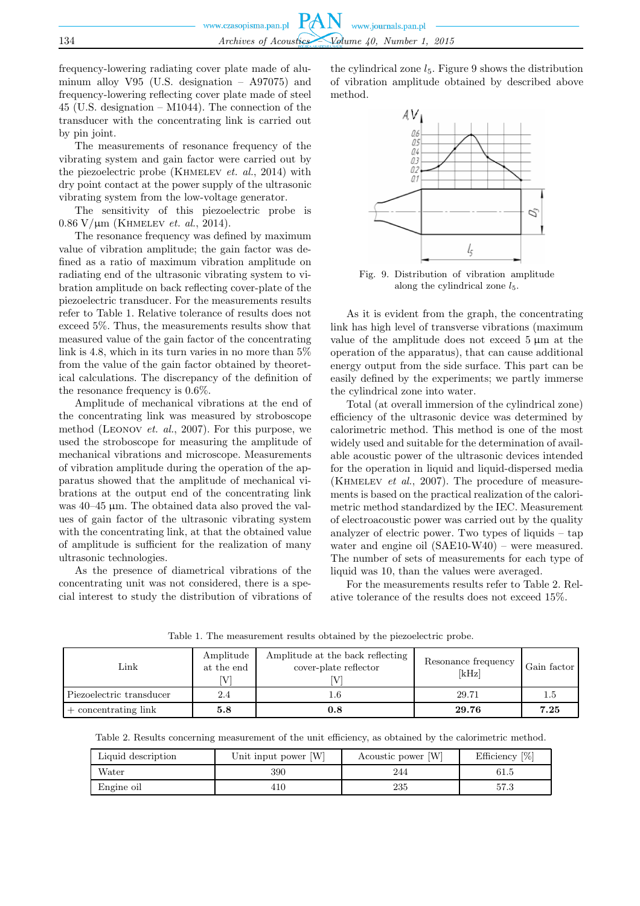frequency-lowering radiating cover plate made of aluminum alloy V95 (U.S. designation – A97075) and frequency-lowering reflecting cover plate made of steel 45 (U.S. designation – M1044). The connection of the transducer with the concentrating link is carried out by pin joint.

The measurements of resonance frequency of the vibrating system and gain factor were carried out by the piezoelectric probe (Khmelev *et. al.*, 2014) with dry point contact at the power supply of the ultrasonic vibrating system from the low-voltage generator.

The sensitivity of this piezoelectric probe is 0.86 V/µm (Khmelev *et. al.*, 2014).

The resonance frequency was defined by maximum value of vibration amplitude; the gain factor was defined as a ratio of maximum vibration amplitude on radiating end of the ultrasonic vibrating system to vibration amplitude on back reflecting cover-plate of the piezoelectric transducer. For the measurements results refer to Table 1. Relative tolerance of results does not exceed 5%. Thus, the measurements results show that measured value of the gain factor of the concentrating link is 4.8, which in its turn varies in no more than 5% from the value of the gain factor obtained by theoretical calculations. The discrepancy of the definition of the resonance frequency is 0.6%.

Amplitude of mechanical vibrations at the end of the concentrating link was measured by stroboscope method (Leonov *et. al.*, 2007). For this purpose, we used the stroboscope for measuring the amplitude of mechanical vibrations and microscope. Measurements of vibration amplitude during the operation of the apparatus showed that the amplitude of mechanical vibrations at the output end of the concentrating link was 40–45 µm. The obtained data also proved the values of gain factor of the ultrasonic vibrating system with the concentrating link, at that the obtained value of amplitude is sufficient for the realization of many ultrasonic technologies.

As the presence of diametrical vibrations of the concentrating unit was not considered, there is a special interest to study the distribution of vibrations of

the cylindrical zone  $l_5$ . Figure 9 shows the distribution of vibration amplitude obtained by described above method.



Fig. 9. Distribution of vibration amplitude along the cylindrical zone  $l_5$ .

As it is evident from the graph, the concentrating link has high level of transverse vibrations (maximum value of the amplitude does not exceed  $5 \mu m$  at the operation of the apparatus), that can cause additional energy output from the side surface. This part can be easily defined by the experiments; we partly immerse the cylindrical zone into water.

Total (at overall immersion of the cylindrical zone) efficiency of the ultrasonic device was determined by calorimetric method. This method is one of the most widely used and suitable for the determination of available acoustic power of the ultrasonic devices intended for the operation in liquid and liquid-dispersed media (Khmelev *et al.*, 2007). The procedure of measurements is based on the practical realization of the calorimetric method standardized by the IEC. Measurement of electroacoustic power was carried out by the quality analyzer of electric power. Two types of liquids – tap water and engine oil (SAE10-W40) – were measured. The number of sets of measurements for each type of liquid was 10, than the values were averaged.

For the measurements results refer to Table 2. Relative tolerance of the results does not exceed 15%.

Table 1. The measurement results obtained by the piezoelectric probe.

| Link                     | Amplitude<br>at the end | Amplitude at the back reflecting<br>cover-plate reflector | Resonance frequency<br>[kHz] | Gain factor |
|--------------------------|-------------------------|-----------------------------------------------------------|------------------------------|-------------|
| Piezoelectric transducer | 2.4                     |                                                           | 29.71                        | 1.5         |
| $+$ concentrating link   | 5.8                     | $\rm 0.8$                                                 | 29.76                        | 7.25        |

Table 2. Results concerning measurement of the unit efficiency, as obtained by the calorimetric method.

| Liquid description | Unit input power [W] | Acoustic power [W] | Efficiency $[\%]$ |
|--------------------|----------------------|--------------------|-------------------|
| Water              | 390                  | 244                | 61.5              |
| Engine oil         | 410                  | 235                | 57.3              |